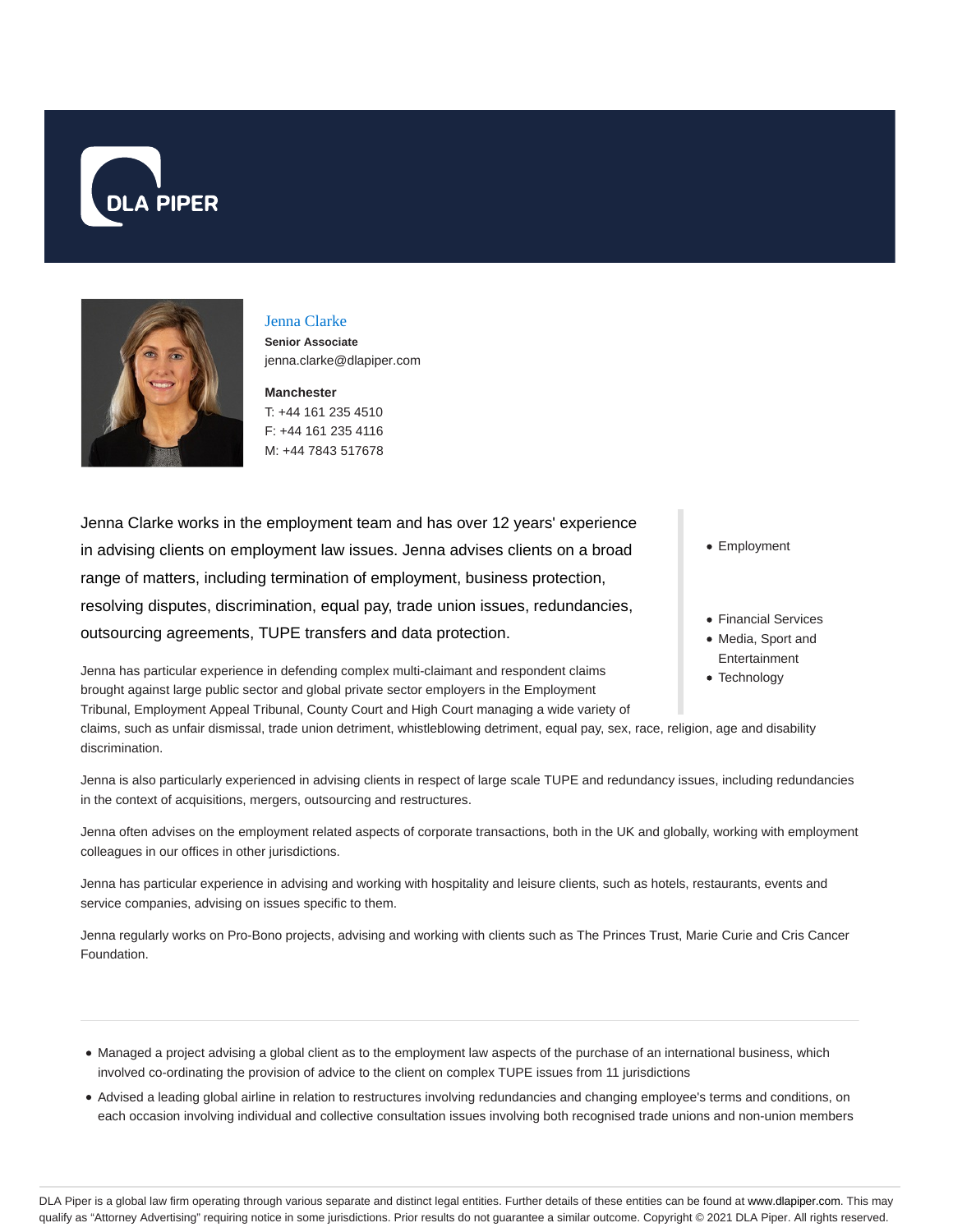



## Jenna Clarke

**Senior Associate** jenna.clarke@dlapiper.com

**Manchester** T: +44 161 235 4510 F: +44 161 235 4116 M: +44 7843 517678

Jenna Clarke works in the employment team and has over 12 years' experience in advising clients on employment law issues. Jenna advises clients on a broad range of matters, including termination of employment, business protection, resolving disputes, discrimination, equal pay, trade union issues, redundancies, outsourcing agreements, TUPE transfers and data protection.

Jenna has particular experience in defending complex multi-claimant and respondent claims brought against large public sector and global private sector employers in the Employment Tribunal, Employment Appeal Tribunal, County Court and High Court managing a wide variety of

claims, such as unfair dismissal, trade union detriment, whistleblowing detriment, equal pay, sex, race, religion, age and disability discrimination.

Jenna is also particularly experienced in advising clients in respect of large scale TUPE and redundancy issues, including redundancies in the context of acquisitions, mergers, outsourcing and restructures.

Jenna often advises on the employment related aspects of corporate transactions, both in the UK and globally, working with employment colleagues in our offices in other jurisdictions.

Jenna has particular experience in advising and working with hospitality and leisure clients, such as hotels, restaurants, events and service companies, advising on issues specific to them.

Jenna regularly works on Pro-Bono projects, advising and working with clients such as The Princes Trust, Marie Curie and Cris Cancer Foundation.

- Managed a project advising a global client as to the employment law aspects of the purchase of an international business, which involved co-ordinating the provision of advice to the client on complex TUPE issues from 11 jurisdictions
- Advised a leading global airline in relation to restructures involving redundancies and changing employee's terms and conditions, on each occasion involving individual and collective consultation issues involving both recognised trade unions and non-union members

• Employment

- Financial Services
- Media, Sport and Entertainment
- Technology

DLA Piper is a global law firm operating through various separate and distinct legal entities. Further details of these entities can be found at www.dlapiper.com. This may qualify as "Attorney Advertising" requiring notice in some jurisdictions. Prior results do not guarantee a similar outcome. Copyright © 2021 DLA Piper. All rights reserved.